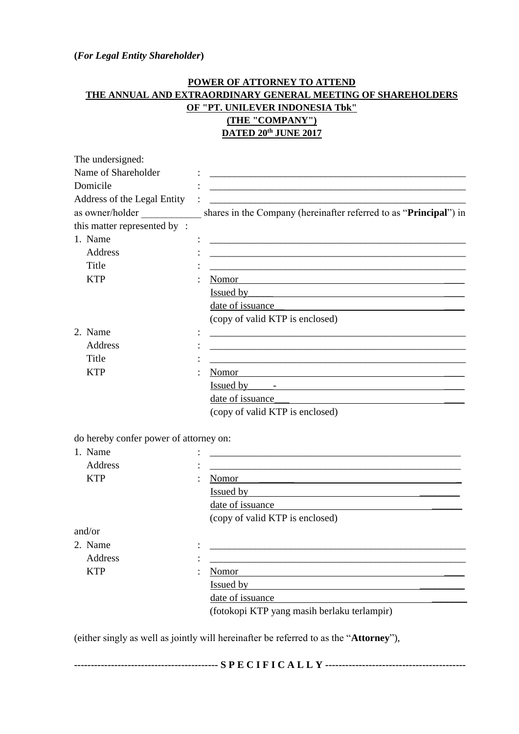## **(***For Legal Entity Shareholder***)**

## **POWER OF ATTORNEY TO ATTEND THE ANNUAL AND EXTRAORDINARY GENERAL MEETING OF SHAREHOLDERS OF "PT. UNILEVER INDONESIA Tbk" (THE "COMPANY") DATED 20th JUNE 2017**

| The undersigned:                       |                                                                                                                                                                                                                                      |
|----------------------------------------|--------------------------------------------------------------------------------------------------------------------------------------------------------------------------------------------------------------------------------------|
| Name of Shareholder                    |                                                                                                                                                                                                                                      |
| Domicile                               |                                                                                                                                                                                                                                      |
| Address of the Legal Entity            |                                                                                                                                                                                                                                      |
| as owner/holder                        | shares in the Company (hereinafter referred to as "Principal") in                                                                                                                                                                    |
| this matter represented by:            |                                                                                                                                                                                                                                      |
| 1. Name                                |                                                                                                                                                                                                                                      |
| Address                                |                                                                                                                                                                                                                                      |
| Title                                  |                                                                                                                                                                                                                                      |
| <b>KTP</b>                             | Nomor                                                                                                                                                                                                                                |
|                                        | <u>Issued by Sammann and Theory and Theory and Theory and Theory and Theory and Theory and Theory and Theory and Theory and Theory and Theory and Theory and Theory and Theory and Theory and Theory and Theory and Theory and T</u> |
|                                        | date of issuance                                                                                                                                                                                                                     |
|                                        | (copy of valid KTP is enclosed)                                                                                                                                                                                                      |
| 2. Name                                |                                                                                                                                                                                                                                      |
| Address                                |                                                                                                                                                                                                                                      |
| Title                                  |                                                                                                                                                                                                                                      |
| <b>KTP</b>                             | Nomor                                                                                                                                                                                                                                |
|                                        | Issued by Figure 2014                                                                                                                                                                                                                |
|                                        | date of issuance                                                                                                                                                                                                                     |
|                                        | (copy of valid KTP is enclosed)                                                                                                                                                                                                      |
|                                        |                                                                                                                                                                                                                                      |
| do hereby confer power of attorney on: |                                                                                                                                                                                                                                      |
| 1. Name                                |                                                                                                                                                                                                                                      |
| Address                                | <u> 1989 - Johann Barbara, margaret eta idazlea (h. 1989).</u>                                                                                                                                                                       |
| <b>KTP</b>                             | Nomor<br>the contract of the contract of the contract of the contract of the contract of the contract of the contract of                                                                                                             |
|                                        | Issued by the contract of the contract of the contract of the contract of the contract of the contract of the contract of the contract of the contract of the contract of the contract of the contract of the contract of the        |
|                                        | date of issuance                                                                                                                                                                                                                     |
|                                        | (copy of valid KTP is enclosed)                                                                                                                                                                                                      |
| and/or                                 |                                                                                                                                                                                                                                      |
| 2. Name                                |                                                                                                                                                                                                                                      |
| Address                                |                                                                                                                                                                                                                                      |
| <b>KTP</b>                             | Nomor                                                                                                                                                                                                                                |
|                                        | <u>Issued by</u>                                                                                                                                                                                                                     |
|                                        | date of issuance                                                                                                                                                                                                                     |
|                                        | (fotokopi KTP yang masih berlaku terlampir)                                                                                                                                                                                          |
|                                        |                                                                                                                                                                                                                                      |
|                                        | (either singly as well as jointly will hereinafter be referred to as the "Attorney"),                                                                                                                                                |

| . E. C. I. B |  |
|--------------|--|
|--------------|--|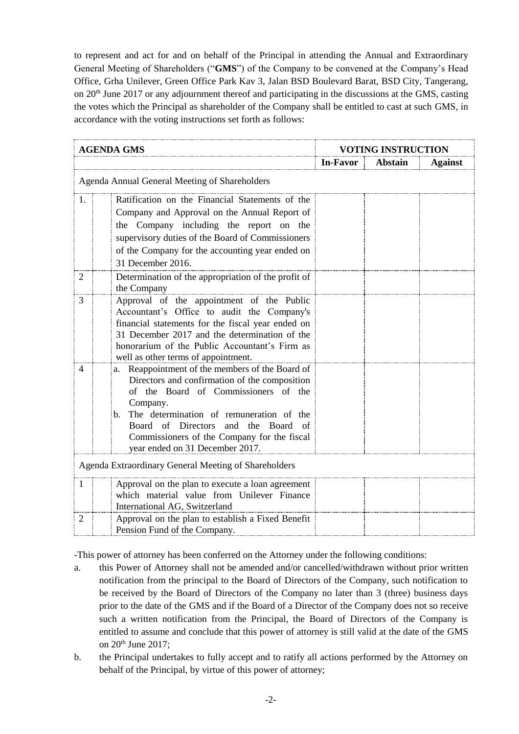to represent and act for and on behalf of the Principal in attending the Annual and Extraordinary General Meeting of Shareholders ("**GMS**") of the Company to be convened at the Company's Head Office, Grha Unilever, Green Office Park Kav 3, Jalan BSD Boulevard Barat, BSD City, Tangerang, on 20th June 2017 or any adjournment thereof and participating in the discussions at the GMS, casting the votes which the Principal as shareholder of the Company shall be entitled to cast at such GMS, in accordance with the voting instructions set forth as follows:

| <b>AGENDA GMS</b> |                                                                                                                                                                                                                                                                                                                                                                 | <b>VOTING INSTRUCTION</b> |                |                |
|-------------------|-----------------------------------------------------------------------------------------------------------------------------------------------------------------------------------------------------------------------------------------------------------------------------------------------------------------------------------------------------------------|---------------------------|----------------|----------------|
|                   |                                                                                                                                                                                                                                                                                                                                                                 | In-Favor                  | <b>Abstain</b> | <b>Against</b> |
|                   | Agenda Annual General Meeting of Shareholders                                                                                                                                                                                                                                                                                                                   |                           |                |                |
| 1.                | Ratification on the Financial Statements of the<br>Company and Approval on the Annual Report of<br>the Company including the report on the<br>supervisory duties of the Board of Commissioners<br>of the Company for the accounting year ended on                                                                                                               |                           |                |                |
| $\overline{2}$    | 31 December 2016.<br>Determination of the appropriation of the profit of<br>the Company                                                                                                                                                                                                                                                                         |                           |                |                |
| 3                 | Approval of the appointment of the Public<br>Accountant's Office to audit the Company's<br>financial statements for the fiscal year ended on<br>31 December 2017 and the determination of the<br>honorarium of the Public Accountant's Firm as<br>well as other terms of appointment.                                                                           |                           |                |                |
| 4                 | Reappointment of the members of the Board of<br>a.<br>Directors and confirmation of the composition<br>of the Board of Commissioners of the<br>Company.<br>The determination of remuneration of the<br>$\mathbf{b}$ .<br>the<br>Board<br>of Directors<br>and<br>Board<br>- of<br>Commissioners of the Company for the fiscal<br>year ended on 31 December 2017. |                           |                |                |
|                   | Agenda Extraordinary General Meeting of Shareholders                                                                                                                                                                                                                                                                                                            |                           |                |                |
| 1                 | Approval on the plan to execute a loan agreement<br>which material value from Unilever Finance<br>International AG, Switzerland                                                                                                                                                                                                                                 |                           |                |                |
| $\overline{2}$    | Approval on the plan to establish a Fixed Benefit<br>Pension Fund of the Company.                                                                                                                                                                                                                                                                               |                           |                |                |

-This power of attorney has been conferred on the Attorney under the following conditions:

- a. this Power of Attorney shall not be amended and/or cancelled/withdrawn without prior written notification from the principal to the Board of Directors of the Company, such notification to be received by the Board of Directors of the Company no later than 3 (three) business days prior to the date of the GMS and if the Board of a Director of the Company does not so receive such a written notification from the Principal, the Board of Directors of the Company is entitled to assume and conclude that this power of attorney is still valid at the date of the GMS on 20<sup>th</sup> June 2017;
- b. the Principal undertakes to fully accept and to ratify all actions performed by the Attorney on behalf of the Principal, by virtue of this power of attorney;